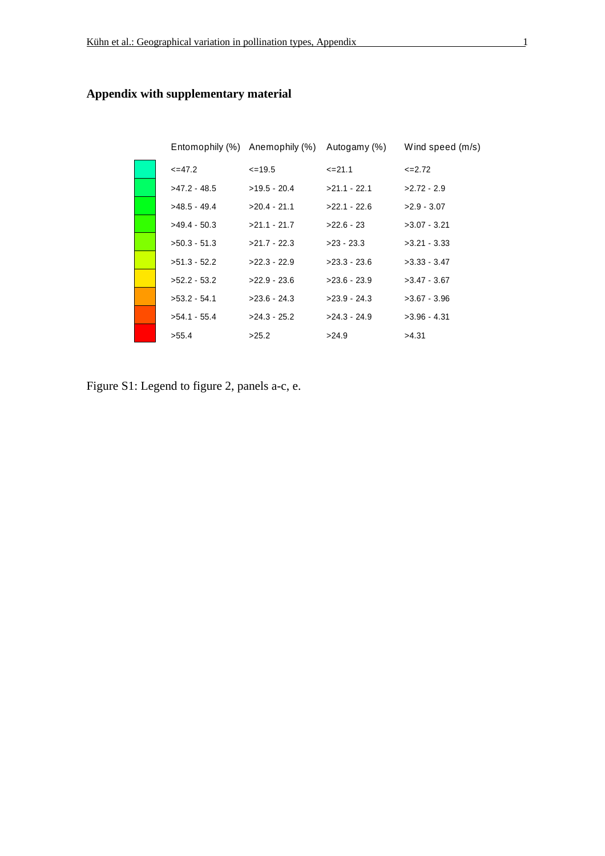$<=47.2$ >47.2 - 48.5 >48.5 - 49.4 >49.4 - 50.3 >50.3 - 51.3 >51.3 - 52.2 >52.2 - 53.2 >53.2 - 54.1 >54.1 - 55.4 >55.4  $\leq$  =19.5 >19.5 - 20.4 >20.4 - 21.1  $>21.1 - 21.7$ >21.7 - 22.3 >22.3 - 22.9 >22.9 - 23.6 >23.6 - 24.3 >24.3 - 25.2 >25.2  $<=$ 21.1 >21.1 - 22.1 >22.1 - 22.6 >22.6 - 23 >23 - 23.3 >23.3 - 23.6 >23.6 - 23.9 >23.9 - 24.3 >24.3 - 24.9 >24.9  $<=$ 2.72 >2.72 - 2.9 >2.9 - 3.07 >3.07 - 3.21 >3.21 - 3.33 >3.33 - 3.47 >3.47 - 3.67 >3.67 - 3.96 >3.96 - 4.31 >4.31 Entomophily (%) Anemophily (%) Autogamy (%) Wind speed (m/s)

## **Appendix with supplementary material**

Figure S1: Legend to figure 2, panels a-c, e.